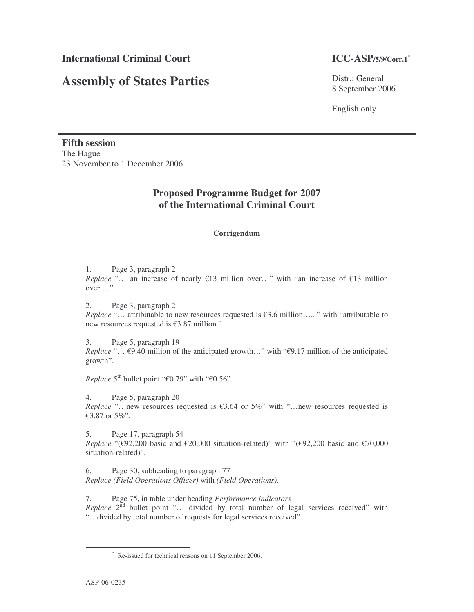# **Assembly of States Parties**

Distr.: General 8 September 2006

English only

**Fifth session** The Hague 23 November to 1 December 2006

### **Proposed Programme Budget for 2007 of the International Criminal Court**

### **Corrigendum**

1. Page 3, paragraph 2

*Replace* "… an increase of nearly €13 million over…" with "an increase of €13 million over….".

2. Page 3, paragraph 2 *Replace* "… attributable to new resources requested is €3.6 million….. " with "attributable to new resources requested is €3.87 million.".

3. Page 5, paragraph 19

*Replace* "… €9.40 million of the anticipated growth…" with "€9.17 million of the anticipated growth".

*Replace*  $5^{\text{th}}$  bullet point " $\text{\textsterling}0.79$ " with " $\text{\textsterling}0.56$ ".

4. Page 5, paragraph 20

*Replace* "…new resources requested is €3.64 or 5%" with "…new resources requested is €3.87 or 5%".

5. Page 17, paragraph 54 *Replace* "( $\epsilon$ 92,200 basic and  $\epsilon$ 20,000 situation-related)" with "( $\epsilon$ 92,200 basic and  $\epsilon$ 70,000 situation-related)".

6. Page 30, subheading to paragraph 77 *Replace (Field Operations Officer)* with *(Field Operations)*.

7. Page 75, in table under heading *Performance indicators* Replace 2<sup>nd</sup> bullet point "... divided by total number of legal services received" with "…divided by total number of requests for legal services received".

<sup>\*</sup> Re-issued for technical reasons on 11 September 2006.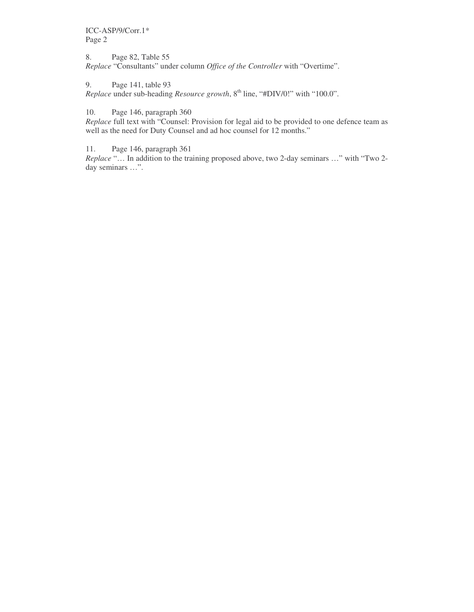ICC-ASP/9/Corr.1\* Page 2

8. Page 82, Table 55 *Replace* "Consultants" under column *Office of the Controller* with "Overtime".

9. Page 141, table 93

*Replace* under sub-heading *Resource growth*, 8 th line, "#DIV/0!" with "100.0".

10. Page 146, paragraph 360

*Replace* full text with "Counsel: Provision for legal aid to be provided to one defence team as well as the need for Duty Counsel and ad hoc counsel for 12 months."

11. Page 146, paragraph 361

*Replace* "… In addition to the training proposed above, two 2-day seminars …" with "Two 2 day seminars …".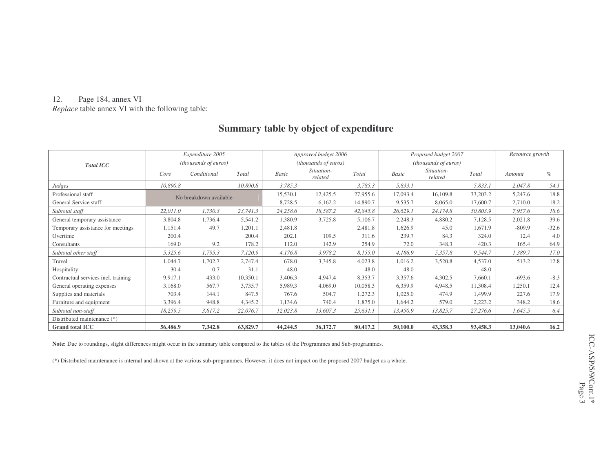#### 12.Page 184, annex VI

*Replace* table annex VI with the following table:

### **Summary table by object of expenditure**

|                                     | Expenditure 2005       |             |          | Approved budget 2006 |                       |          | Proposed budget 2007        |                       |          | Resource growth |         |
|-------------------------------------|------------------------|-------------|----------|----------------------|-----------------------|----------|-----------------------------|-----------------------|----------|-----------------|---------|
| <b>Total ICC</b>                    | (thousands of euros)   |             |          | (thousands of euros) |                       |          | <i>(thousands of euros)</i> |                       |          |                 |         |
|                                     | Core                   | Conditional | Total    | Basic                | Situation-<br>related | Total    | Basic                       | Situation-<br>related | Total    | Amount          | $\%$    |
| <b>Judges</b>                       | 10,890.8               |             | 10,890.8 | 3,785.3              |                       | 3,785.3  | 5,833.1                     |                       | 5,833.1  | 2,047.8         | 54.1    |
| Professional staff                  | No breakdown available |             | 15,530.1 | 12,425.5             | 27,955.6              | 17,093.4 | 16,109.8                    | 33,203.2              | 5,247.6  | 18.8            |         |
| General Service staff               |                        |             |          | 8,728.5              | 6,162.2               | 14,890.7 | 9,535.7                     | 8,065.0               | 17,600.7 | 2,710.0         | 18.2    |
| Subtotal staff                      | 22,011.0               | 1,730.3     | 23,741.3 | 24,258.6             | 18,587.2              | 42,845.8 | 26,629.1                    | 24,174.8              | 50,803.9 | 7,957.6         | 18.6    |
| General temporary assistance        | 3,804.8                | 1,736.4     | 5,541.2  | 1,380.9              | 3,725.8               | 5,106.7  | 2,248.3                     | 4,880.2               | 7,128.5  | 2,021.8         | 39.6    |
| Temporary assistance for meetings   | 1,151.4                | 49.7        | 1,201.1  | 2,481.8              |                       | 2,481.8  | 1,626.9                     | 45.0                  | 1,671.9  | $-809.9$        | $-32.6$ |
| Overtime                            | 200.4                  |             | 200.4    | 202.1                | 109.5                 | 311.6    | 239.7                       | 84.3                  | 324.0    | 12.4            | 4.0     |
| Consultants                         | 169.0                  | 9.2         | 178.2    | 112.0                | 142.9                 | 254.9    | 72.0                        | 348.3                 | 420.3    | 165.4           | 64.9    |
| Subtotal other staff                | 5,325.6                | 1,795.3     | 7,120.9  | 4,176.8              | 3,978.2               | 8,155.0  | 4,186.9                     | 5,357.8               | 9,544.7  | 1,389.7         | 17.0    |
| Travel                              | 1,044.7                | 1,702.7     | 2,747.4  | 678.0                | 3,345.8               | 4,023.8  | 1,016.2                     | 3,520.8               | 4,537.0  | 513.2           | 12.8    |
| Hospitality                         | 30.4                   | 0.7         | 31.1     | 48.0                 |                       | 48.0     | 48.0                        |                       | 48.0     |                 |         |
| Contractual services incl. training | 9,917.1                | 433.0       | 10,350.1 | 3,406.3              | 4,947.4               | 8,353.7  | 3,357.6                     | 4,302.5               | 7,660.1  | $-693.6$        | $-8.3$  |
| General operating expenses          | 3,168.0                | 567.7       | 3,735.7  | 5,989.3              | 4,069.0               | 10,058.3 | 6,359.9                     | 4,948.5               | 11,308.4 | 1,250.1         | 12.4    |
| Supplies and materials              | 703.4                  | 144.1       | 847.5    | 767.6                | 504.7                 | 1,272.3  | 1,025.0                     | 474.9                 | 1,499.9  | 227.6           | 17.9    |
| Furniture and equipment             | 3,396.4                | 948.8       | 4,345.2  | 1,134.6              | 740.4                 | 1,875.0  | 1,644.2                     | 579.0                 | 2,223.2  | 348.2           | 18.6    |
| Subtotal non-staff                  | 18,259.5               | 3,817.2     | 22,076.7 | 12,023.8             | 13,607.3              | 25,631.1 | 13,450.9                    | 13,825.7              | 27,276.6 | 1,645.5         | 6.4     |
| Distributed maintenance (*)         |                        |             |          |                      |                       |          |                             |                       |          |                 |         |
| <b>Grand total ICC</b>              | 56,486.9               | 7,342.8     | 63,829.7 | 44,244.5             | 36,172.7              | 80,417.2 | 50,100.0                    | 43,358.3              | 93,458.3 | 13,040.6        | 16.2    |

**Note:** Due to roundings, slight differences might occur in the summary table compared to the tables of the Programmes and Sub-programmes.

(\*) Distributed maintenance is internal and shown at the various sub-programmes. However, it does not impact on the proposed 2007 budget as <sup>a</sup> whole.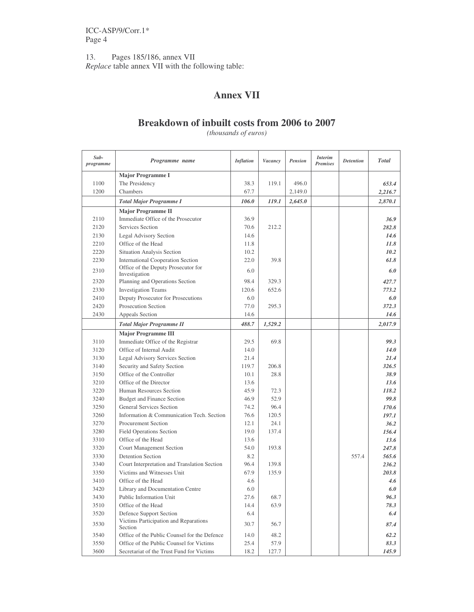13. Pages 185/186, annex VII *Replace* table annex VII with the following table:

## **Annex VII**

### **Breakdown of inbuilt costs from 2006 to 2007**

*(thousands of euros)*

| Sub-<br>programme | Programme name                                       | <b>Inflation</b> | Vacancy | <b>Pension</b> | <i>Interim</i><br><b>Premises</b> | <b>Detention</b> | <b>Total</b> |
|-------------------|------------------------------------------------------|------------------|---------|----------------|-----------------------------------|------------------|--------------|
|                   | <b>Major Programme I</b>                             |                  |         |                |                                   |                  |              |
| 1100              | The Presidency                                       | 38.3             | 119.1   | 496.0          |                                   |                  | 653.4        |
| 1200              | Chambers                                             | 67.7             |         | 2,149.0        |                                   |                  | 2,216.7      |
|                   | <b>Total Major Programme I</b>                       | 106.0            | 119.1   | 2,645.0        |                                   |                  | 2,870.1      |
|                   | <b>Major Programme II</b>                            |                  |         |                |                                   |                  |              |
| 2110              | Immediate Office of the Prosecutor                   | 36.9             |         |                |                                   |                  | 36.9         |
| 2120              | Services Section                                     | 70.6             | 212.2   |                |                                   |                  | 282.8        |
| 2130              | Legal Advisory Section                               | 14.6             |         |                |                                   |                  | 14.6         |
| 2210              | Office of the Head                                   | 11.8             |         |                |                                   |                  | 11.8         |
| 2220              | Situation Analysis Section                           | 10.2             |         |                |                                   |                  | 10.2         |
| 2230              | <b>International Cooperation Section</b>             | 22.0             | 39.8    |                |                                   |                  | 61.8         |
| 2310              | Office of the Deputy Prosecutor for<br>Investigation | 6.0              |         |                |                                   |                  | 6.0          |
| 2320              | Planning and Operations Section                      | 98.4             | 329.3   |                |                                   |                  | 427.7        |
| 2330              | <b>Investigation Teams</b>                           | 120.6            | 652.6   |                |                                   |                  | 773.2        |
| 2410              | Deputy Prosecutor for Prosecutions                   | 6.0              |         |                |                                   |                  | 6.0          |
| 2420              | Prosecution Section                                  | 77.0             | 295.3   |                |                                   |                  | 372.3        |
| 2430              | Appeals Section                                      | 14.6             |         |                |                                   |                  | 14.6         |
|                   | <b>Total Major Programme II</b>                      | 488.7            | 1,529.2 |                |                                   |                  | 2,017.9      |
|                   | <b>Major Programme III</b>                           |                  |         |                |                                   |                  |              |
| 3110              | Immediate Office of the Registrar                    | 29.5             | 69.8    |                |                                   |                  | 99.3         |
| 3120              | Office of Internal Audit                             | 14.0             |         |                |                                   |                  | 14.0         |
| 3130              | Legal Advisory Services Section                      | 21.4             |         |                |                                   |                  | 21.4         |
| 3140              | Security and Safety Section                          | 119.7            | 206.8   |                |                                   |                  | 326.5        |
| 3150              | Office of the Controller                             | 10.1             | 28.8    |                |                                   |                  | 38.9         |
| 3210              | Office of the Director                               | 13.6             |         |                |                                   |                  | 13.6         |
| 3220              | Human Resources Section                              | 45.9             | 72.3    |                |                                   |                  | 118.2        |
| 3240              | Budget and Finance Section                           | 46.9             | 52.9    |                |                                   |                  | 99.8         |
| 3250              | <b>General Services Section</b>                      | 74.2             | 96.4    |                |                                   |                  | 170.6        |
| 3260              | Information & Communication Tech. Section            | 76.6             | 120.5   |                |                                   |                  | 197.1        |
| 3270              | Procurement Section                                  | 12.1             | 24.1    |                |                                   |                  | 36.2         |
| 3280              | <b>Field Operations Section</b>                      | 19.0             | 137.4   |                |                                   |                  | 156.4        |
| 3310              | Office of the Head                                   | 13.6             |         |                |                                   |                  | 13.6         |
| 3320              | Court Management Section                             | 54.0             | 193.8   |                |                                   |                  | 247.8        |
| 3330              | <b>Detention Section</b>                             | 8.2              |         |                |                                   | 557.4            | 565.6        |
| 3340              | Court Interpretation and Translation Section         | 96.4             | 139.8   |                |                                   |                  | 236.2        |
| 3350              | Victims and Witnesses Unit                           | 67.9             | 135.9   |                |                                   |                  | 203.8        |
| 3410              | Office of the Head                                   | 4.6              |         |                |                                   |                  | 4.6          |
| 3420              | Library and Documentation Centre                     | 6.0              |         |                |                                   |                  | 6.0          |
| 3430              | Public Information Unit                              | 27.6             | 68.7    |                |                                   |                  | 96.3         |
| 3510              | Office of the Head                                   | 14.4             | 63.9    |                |                                   |                  | 78.3         |
| 3520              | Defence Support Section                              | 6.4              |         |                |                                   |                  | 6.4          |
| 3530              | Victims Participation and Reparations<br>Section     | 30.7             | 56.7    |                |                                   |                  | 87.4         |
| 3540              | Office of the Public Counsel for the Defence         | 14.0             | 48.2    |                |                                   |                  | 62.2         |
| 3550              | Office of the Public Counsel for Victims             | 25.4             | 57.9    |                |                                   |                  | 83.3         |
| 3600              | Secretariat of the Trust Fund for Victims            | 18.2             | 127.7   |                |                                   |                  | 145.9        |